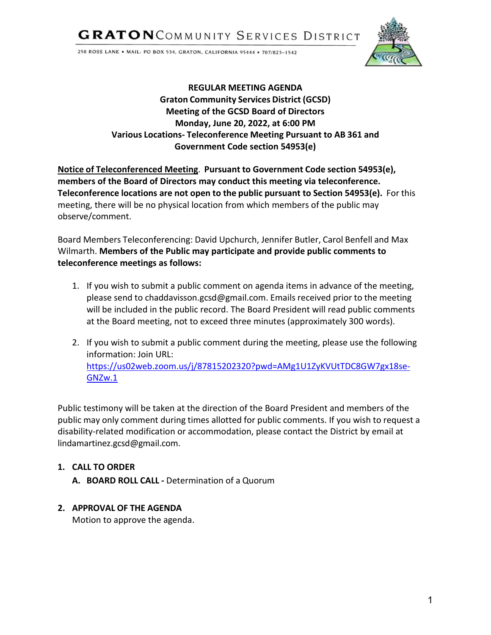**GRATON**COMMUNITY SERVICES DISTRICT

250 ROSS LANE . MAIL: PO BOX 534, GRATON, CALIFORNIA 95444 . 707/823-1542



# **REGULAR MEETING AGENDA Graton Community Services District (GCSD) Meeting of the GCSD Board of Directors Monday, June 20, 2022, at 6:00 PM Various Locations- Teleconference Meeting Pursuant to AB 361 and Government Code section 54953(e)**

**Notice of Teleconferenced Meeting**. **Pursuant to Government Code section 54953(e), members of the Board of Directors may conduct this meeting via teleconference. Teleconference locations are not open to the public pursuant to Section 54953(e).** For this meeting, there will be no physical location from which members of the public may observe/comment.

Board Members Teleconferencing: David Upchurch, Jennifer Butler, Carol Benfell and Max Wilmarth. **Members of the Public may participate and provide public comments to teleconference meetings as follows:**

- 1. If you wish to submit a public comment on agenda items in advance of the meeting, please send to chaddavisson.gcs[d@gmail.com.](mailto:joseortiz.gcsd@gmail.com) Emails received prior to the meeting will be included in the public record. The Board President will read public comments at the Board meeting, not to exceed three minutes (approximately 300 words).
- 2. If you wish to submit a public comment during the meeting, please use the following information: Join URL: [https://us02web.zoom.us/j/87815202320?pwd=AMg1U1ZyKVUtTDC8GW7gx18se-](https://us02web.zoom.us/j/87815202320?pwd=AMg1U1ZyKVUtTDC8GW7gx18se-GNZw.1)[GNZw.1](https://us02web.zoom.us/j/87815202320?pwd=AMg1U1ZyKVUtTDC8GW7gx18se-GNZw.1)

Public testimony will be taken at the direction of the Board President and members of the public may only comment during times allotted for public comments. If you wish to request a disability-related modification or accommodation, please contact the District by email at [lindamartinez.gcsd@gmail.com.](mailto:lindamartinez.gcsd@gmail.com)

# **1. CALL TO ORDER**

**A. BOARD ROLL CALL -** Determination of a Quorum

# **2. APPROVAL OF THE AGENDA**

Motion to approve the agenda.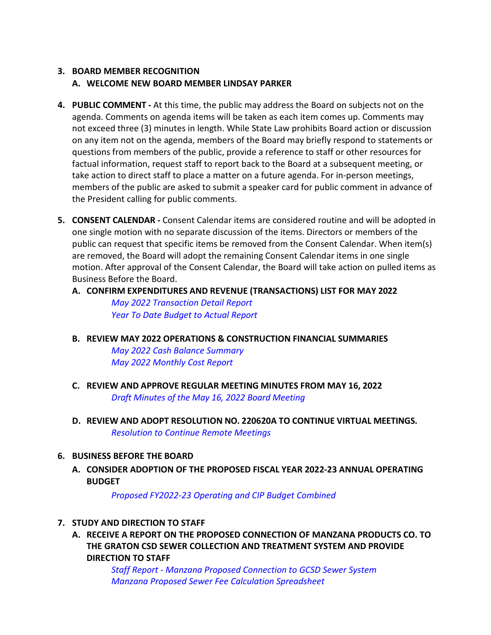# **3. BOARD MEMBER RECOGNITION A. WELCOME NEW BOARD MEMBER LINDSAY PARKER**

- **4. PUBLIC COMMENT -** At this time, the public may address the Board on subjects not on the agenda. Comments on agenda items will be taken as each item comes up. Comments may not exceed three (3) minutes in length. While State Law prohibits Board action or discussion on any item not on the agenda, members of the Board may briefly respond to statements or questions from members of the public, provide a reference to staff or other resources for factual information, request staff to report back to the Board at a subsequent meeting, or take action to direct staff to place a matter on a future agenda. For in-person meetings, members of the public are asked to submit a speaker card for public comment in advance of the President calling for public comments.
- **5. CONSENT CALENDAR -** Consent Calendar items are considered routine and will be adopted in one single motion with no separate discussion of the items. Directors or members of the public can request that specific items be removed from the Consent Calendar. When item(s) are removed, the Board will adopt the remaining Consent Calendar items in one single motion. After approval of the Consent Calendar, the Board will take action on pulled items as Business Before the Board.

#### **A. CONFIRM EXPENDITURES AND REVENUE (TRANSACTIONS) LIST FOR MAY 2022**

*[May 2022 Transaction Detail Report](https://www.graton.org/files/72338ff09/May+31+2022+Transaction+Detail.pdf) [Year To Date Budget to Actual Report](https://www.graton.org/files/1c937a254/May+31+2022+YTD+Budget+vs+Actual.pdf)*

**B. REVIEW MAY 2022 OPERATIONS & CONSTRUCTION FINANCIAL SUMMARIES**

*[May 2022 Cash Balance Summary](https://www.graton.org/files/07a858e0c/May+31+2022+-+Cash+Balance+Summary.pdf) [May 2022 Monthly Cost Report](https://www.graton.org/files/ec7ac7ba8/May+31+2022+-+GCSD+Monthly+Cost+Report.pdf)*

- **C. REVIEW AND APPROVE REGULAR MEETING MINUTES FROM MAY 16, 2022** *[Draft Minutes of the May 16, 2022 Board Meeting](https://www.graton.org/files/dbb3c0571/GCSD+Regular+Meeting+DRAFT+Minutes+05_16_2022.pdf)*
- **D. REVIEW AND ADOPT RESOLUTION NO. 220620A TO CONTINUE VIRTUAL MEETINGS.** *[Resolution to Continue Remote Meetings](https://www.graton.org/files/94c8450cd/Reso.+220620A.pdf)*

# **6. BUSINESS BEFORE THE BOARD**

**A. CONSIDER ADOPTION OF THE PROPOSED FISCAL YEAR 2022-23 ANNUAL OPERATING BUDGET**

*[Proposed FY2022-23 Operating and CIP Budget Combined](https://www.graton.org/files/355d78d2f/Proposed+Combined+Budget+FY+22-23.pdf)*

# **7. STUDY AND DIRECTION TO STAFF**

**A. RECEIVE A REPORT ON THE PROPOSED CONNECTION OF MANZANA PRODUCTS CO. TO THE GRATON CSD SEWER COLLECTION AND TREATMENT SYSTEM AND PROVIDE DIRECTION TO STAFF**

> *Staff Report - [Manzana Proposed Connection to GCSD Sewer System](https://www.graton.org/files/b1d5dcfe9/SR-+Manzana+Discharge+to+GCSD.pdf) [Manzana Proposed Sewer Fee Calculation Spreadsheet](https://www.graton.org/files/a1d53b4ab/Manzana+Sewer+Charge+Estimate+2022-06-01.pdf)*